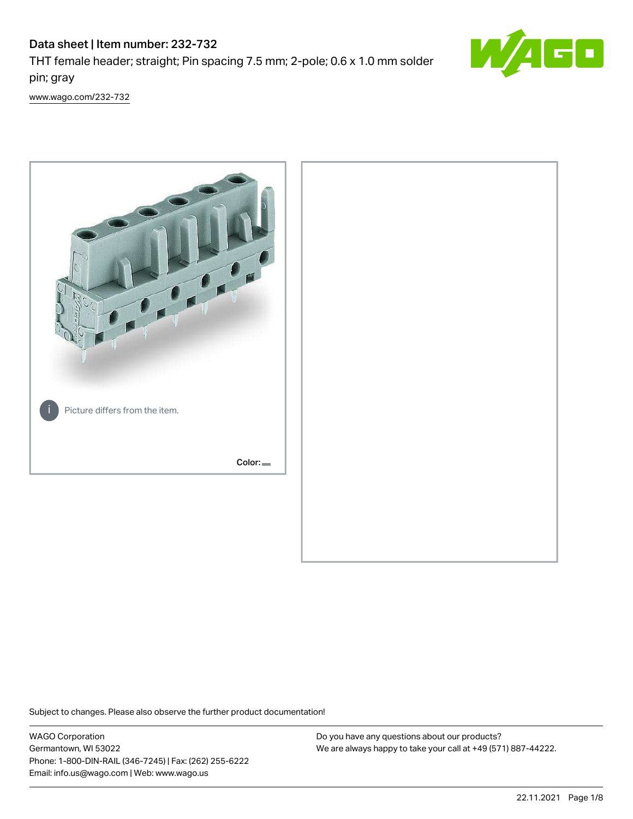# Data sheet | Item number: 232-732 THT female header; straight; Pin spacing 7.5 mm; 2-pole; 0.6 x 1.0 mm solder pin; gray



[www.wago.com/232-732](http://www.wago.com/232-732)



Subject to changes. Please also observe the further product documentation!

WAGO Corporation Germantown, WI 53022 Phone: 1-800-DIN-RAIL (346-7245) | Fax: (262) 255-6222 Email: info.us@wago.com | Web: www.wago.us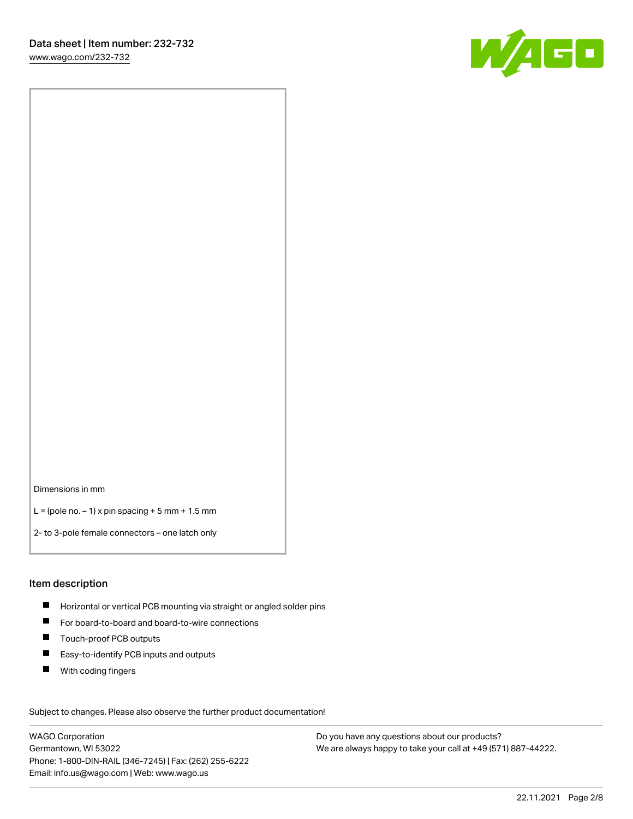

Dimensions in mm

 $L =$  (pole no.  $-1$ ) x pin spacing  $+5$  mm  $+ 1.5$  mm

2- to 3-pole female connectors – one latch only

#### Item description

- **H** Horizontal or vertical PCB mounting via straight or angled solder pins
- For board-to-board and board-to-wire connections
- Touch-proof PCB outputs  $\blacksquare$
- $\blacksquare$ Easy-to-identify PCB inputs and outputs
- $\blacksquare$ With coding fingers

Subject to changes. Please also observe the further product documentation! Data

WAGO Corporation Germantown, WI 53022 Phone: 1-800-DIN-RAIL (346-7245) | Fax: (262) 255-6222 Email: info.us@wago.com | Web: www.wago.us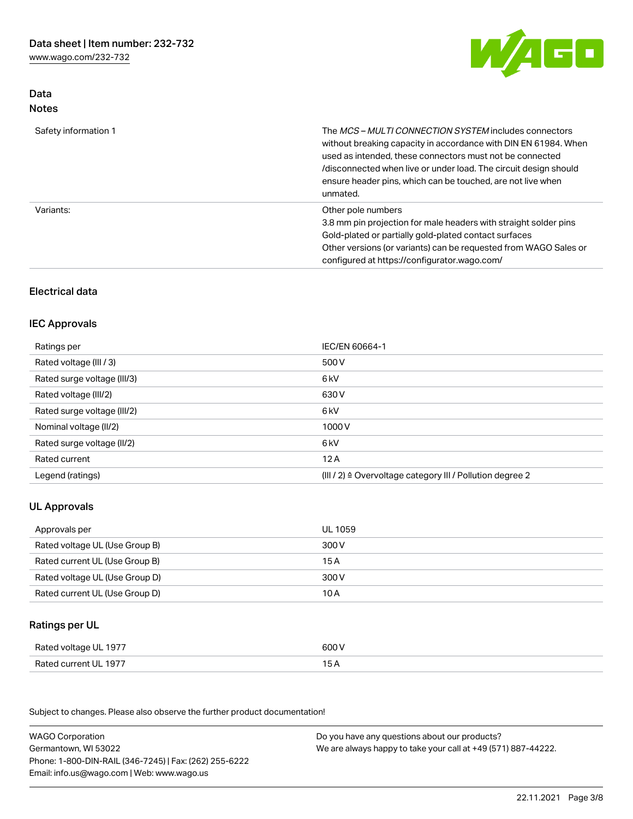Data Notes



| Safety information 1 | The MCS-MULTI CONNECTION SYSTEM includes connectors<br>without breaking capacity in accordance with DIN EN 61984. When<br>used as intended, these connectors must not be connected<br>/disconnected when live or under load. The circuit design should<br>ensure header pins, which can be touched, are not live when<br>unmated. |
|----------------------|-----------------------------------------------------------------------------------------------------------------------------------------------------------------------------------------------------------------------------------------------------------------------------------------------------------------------------------|
| Variants:            | Other pole numbers<br>3.8 mm pin projection for male headers with straight solder pins<br>Gold-plated or partially gold-plated contact surfaces<br>Other versions (or variants) can be requested from WAGO Sales or<br>configured at https://configurator.wago.com/                                                               |

## Electrical data

#### IEC Approvals

| Ratings per                 | IEC/EN 60664-1                                                        |
|-----------------------------|-----------------------------------------------------------------------|
| Rated voltage (III / 3)     | 500 V                                                                 |
| Rated surge voltage (III/3) | 6 kV                                                                  |
| Rated voltage (III/2)       | 630 V                                                                 |
| Rated surge voltage (III/2) | 6 kV                                                                  |
| Nominal voltage (II/2)      | 1000 V                                                                |
| Rated surge voltage (II/2)  | 6 kV                                                                  |
| Rated current               | 12A                                                                   |
| Legend (ratings)            | $(III / 2)$ $\triangle$ Overvoltage category III / Pollution degree 2 |

## UL Approvals

| Approvals per                  | UL 1059 |
|--------------------------------|---------|
| Rated voltage UL (Use Group B) | 300 V   |
| Rated current UL (Use Group B) | 15 A    |
| Rated voltage UL (Use Group D) | 300 V   |
| Rated current UL (Use Group D) | 10 A    |

## Ratings per UL

| Rated voltage UL 1977 | 600 V |
|-----------------------|-------|
| Rated current UL 1977 | 15 A  |

| <b>WAGO Corporation</b>                                | Do you have any questions about our products?                 |
|--------------------------------------------------------|---------------------------------------------------------------|
| Germantown, WI 53022                                   | We are always happy to take your call at +49 (571) 887-44222. |
| Phone: 1-800-DIN-RAIL (346-7245)   Fax: (262) 255-6222 |                                                               |
| Email: info.us@wago.com   Web: www.wago.us             |                                                               |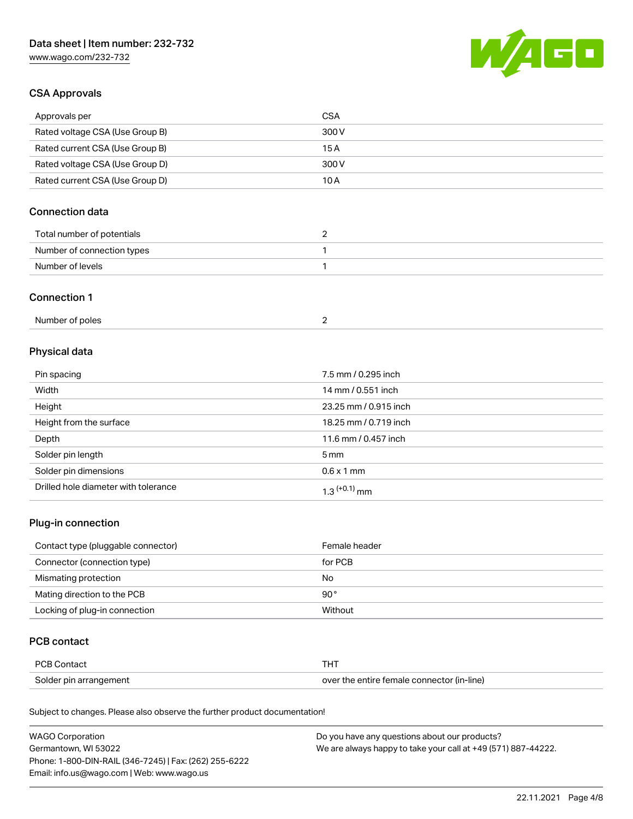

## CSA Approvals

| Approvals per                   | CSA   |
|---------------------------------|-------|
| Rated voltage CSA (Use Group B) | 300 V |
| Rated current CSA (Use Group B) | 15 A  |
| Rated voltage CSA (Use Group D) | 300 V |
| Rated current CSA (Use Group D) | 10 A  |

## Connection data

| Total number of potentials |  |
|----------------------------|--|
| Number of connection types |  |
| Number of levels           |  |

#### Connection 1

| Number of poles |  |
|-----------------|--|
|-----------------|--|

## Physical data

| Pin spacing                          | 7.5 mm / 0.295 inch   |
|--------------------------------------|-----------------------|
| Width                                | 14 mm / 0.551 inch    |
| Height                               | 23.25 mm / 0.915 inch |
| Height from the surface              | 18.25 mm / 0.719 inch |
| Depth                                | 11.6 mm / 0.457 inch  |
| Solder pin length                    | $5 \,\mathrm{mm}$     |
| Solder pin dimensions                | $0.6 \times 1$ mm     |
| Drilled hole diameter with tolerance | $1.3$ $(+0.1)$ mm     |

## Plug-in connection

| Contact type (pluggable connector) | Female header |
|------------------------------------|---------------|
| Connector (connection type)        | for PCB       |
| Mismating protection               | No            |
| Mating direction to the PCB        | $90^{\circ}$  |
| Locking of plug-in connection      | Without       |

## PCB contact

| PCB Contact            | THT                                        |
|------------------------|--------------------------------------------|
| Solder pin arrangement | over the entire female connector (in-line) |

| <b>WAGO Corporation</b>                                | Do you have any questions about our products?                 |
|--------------------------------------------------------|---------------------------------------------------------------|
| Germantown, WI 53022                                   | We are always happy to take your call at +49 (571) 887-44222. |
| Phone: 1-800-DIN-RAIL (346-7245)   Fax: (262) 255-6222 |                                                               |
| Email: info.us@wago.com   Web: www.wago.us             |                                                               |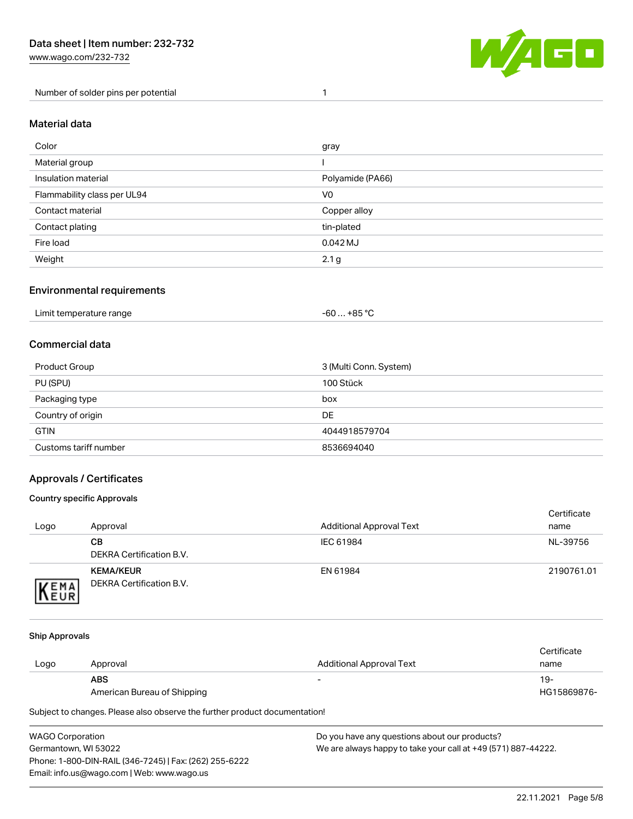Number of solder pins per potential 1



#### Material data

| Color                       | gray             |
|-----------------------------|------------------|
| Material group              |                  |
| Insulation material         | Polyamide (PA66) |
| Flammability class per UL94 | V <sub>0</sub>   |
| Contact material            | Copper alloy     |
| Contact plating             | tin-plated       |
| Fire load                   | $0.042$ MJ       |
| Weight                      | 2.1 <sub>g</sub> |

### Environmental requirements

| Limit temperature range<br>. | . +85 °C<br>-60 |  |
|------------------------------|-----------------|--|
|------------------------------|-----------------|--|

## Commercial data

| Product Group         | 3 (Multi Conn. System) |
|-----------------------|------------------------|
| PU (SPU)              | 100 Stück              |
| Packaging type        | box                    |
| Country of origin     | DE                     |
| <b>GTIN</b>           | 4044918579704          |
| Customs tariff number | 8536694040             |

## Approvals / Certificates

#### Country specific Approvals

| Logo                | Approval                                     | <b>Additional Approval Text</b> | Certificate<br>name |
|---------------------|----------------------------------------------|---------------------------------|---------------------|
|                     | CВ<br>DEKRA Certification B.V.               | IEC 61984                       | NL-39756            |
| EMA<br><b>INEUR</b> | <b>KEMA/KEUR</b><br>DEKRA Certification B.V. | EN 61984                        | 2190761.01          |

#### Ship Approvals

| Logo | Approval                    | Additional Approval Text | Certificate<br>name |
|------|-----------------------------|--------------------------|---------------------|
|      | <b>ABS</b>                  | $\overline{\phantom{0}}$ | 19-                 |
|      | American Bureau of Shipping |                          | HG15869876-         |

| WAGO Corporation                                       | Do you have any questions about our products?                 |
|--------------------------------------------------------|---------------------------------------------------------------|
| Germantown, WI 53022                                   | We are always happy to take your call at +49 (571) 887-44222. |
| Phone: 1-800-DIN-RAIL (346-7245)   Fax: (262) 255-6222 |                                                               |
| Email: info.us@wago.com   Web: www.wago.us             |                                                               |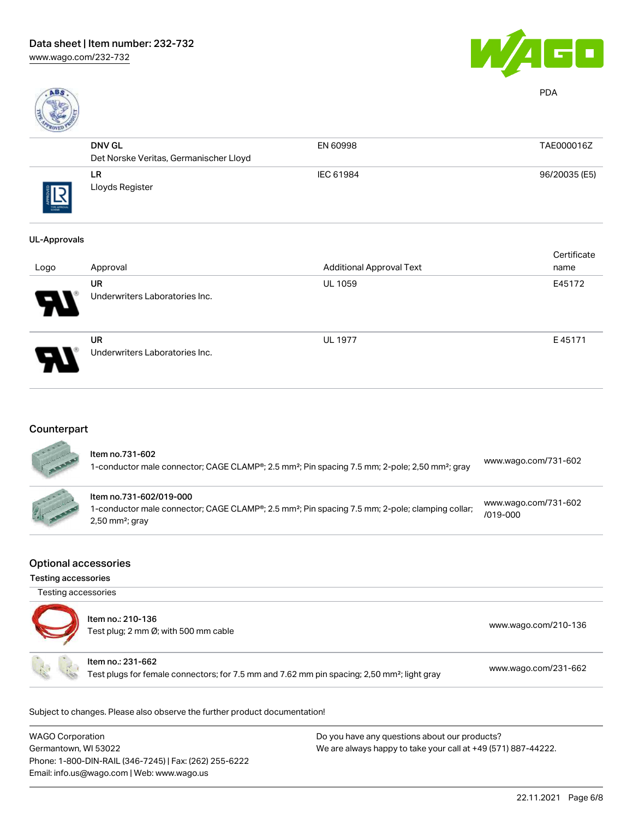



PDA

| <b>CONTRACTOR</b> |                                        |           |               |
|-------------------|----------------------------------------|-----------|---------------|
|                   | <b>DNV GL</b>                          | EN 60998  | TAE000016Z    |
|                   | Det Norske Veritas, Germanischer Lloyd |           |               |
| THE APPROVAL      | LR<br>Lloyds Register                  | IEC 61984 | 96/20035 (E5) |

#### UL-Approvals

| Logo                       | Approval                                    | <b>Additional Approval Text</b> | Certificate<br>name |
|----------------------------|---------------------------------------------|---------------------------------|---------------------|
| $\boldsymbol{\theta}$      | <b>UR</b><br>Underwriters Laboratories Inc. | <b>UL 1059</b>                  | E45172              |
| $\boldsymbol{\mathcal{P}}$ | <b>UR</b><br>Underwriters Laboratories Inc. | <b>UL 1977</b>                  | E45171              |

## **Counterpart**

| ltem no.731-602<br>1-conductor male connector; CAGE CLAMP®; 2.5 mm <sup>2</sup> ; Pin spacing 7.5 mm; 2-pole; 2,50 mm <sup>2</sup> ; gray                                            | www.wago.com/731-602                 |
|--------------------------------------------------------------------------------------------------------------------------------------------------------------------------------------|--------------------------------------|
| Item no.731-602/019-000<br>1-conductor male connector; CAGE CLAMP <sup>®</sup> ; 2.5 mm <sup>2</sup> ; Pin spacing 7.5 mm; 2-pole; clamping collar;<br>$2,50$ mm <sup>2</sup> ; gray | www.wago.com/731-602<br>$/019 - 000$ |

#### Optional accessories

Testing accessories

| Testing accessories | Item no.: 210-136<br>Test plug; 2 mm Ø; with 500 mm cable                                                                    | www.wago.com/210-136 |
|---------------------|------------------------------------------------------------------------------------------------------------------------------|----------------------|
|                     | Item no.: 231-662<br>Test plugs for female connectors; for 7.5 mm and 7.62 mm pin spacing; 2,50 mm <sup>2</sup> ; light gray | www.wago.com/231-662 |

| WAGO Corporation                                       | Do you have any questions about our products?                 |
|--------------------------------------------------------|---------------------------------------------------------------|
| Germantown, WI 53022                                   | We are always happy to take your call at +49 (571) 887-44222. |
| Phone: 1-800-DIN-RAIL (346-7245)   Fax: (262) 255-6222 |                                                               |
| Email: info.us@wago.com   Web: www.wago.us             |                                                               |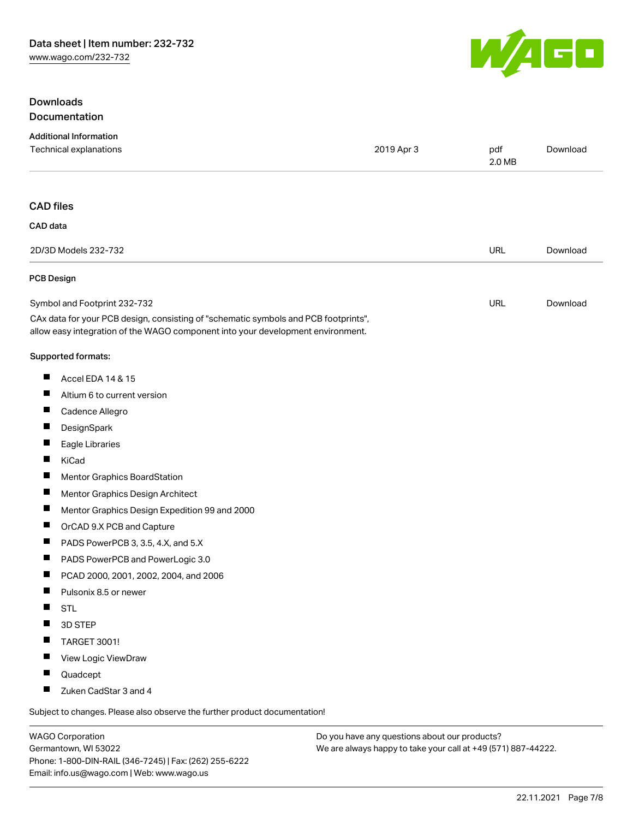### Downloads Documentation



Subject to changes. Please also observe the further product documentation!

WAGO Corporation Germantown, WI 53022 Phone: 1-800-DIN-RAIL (346-7245) | Fax: (262) 255-6222 Email: info.us@wago.com | Web: www.wago.us